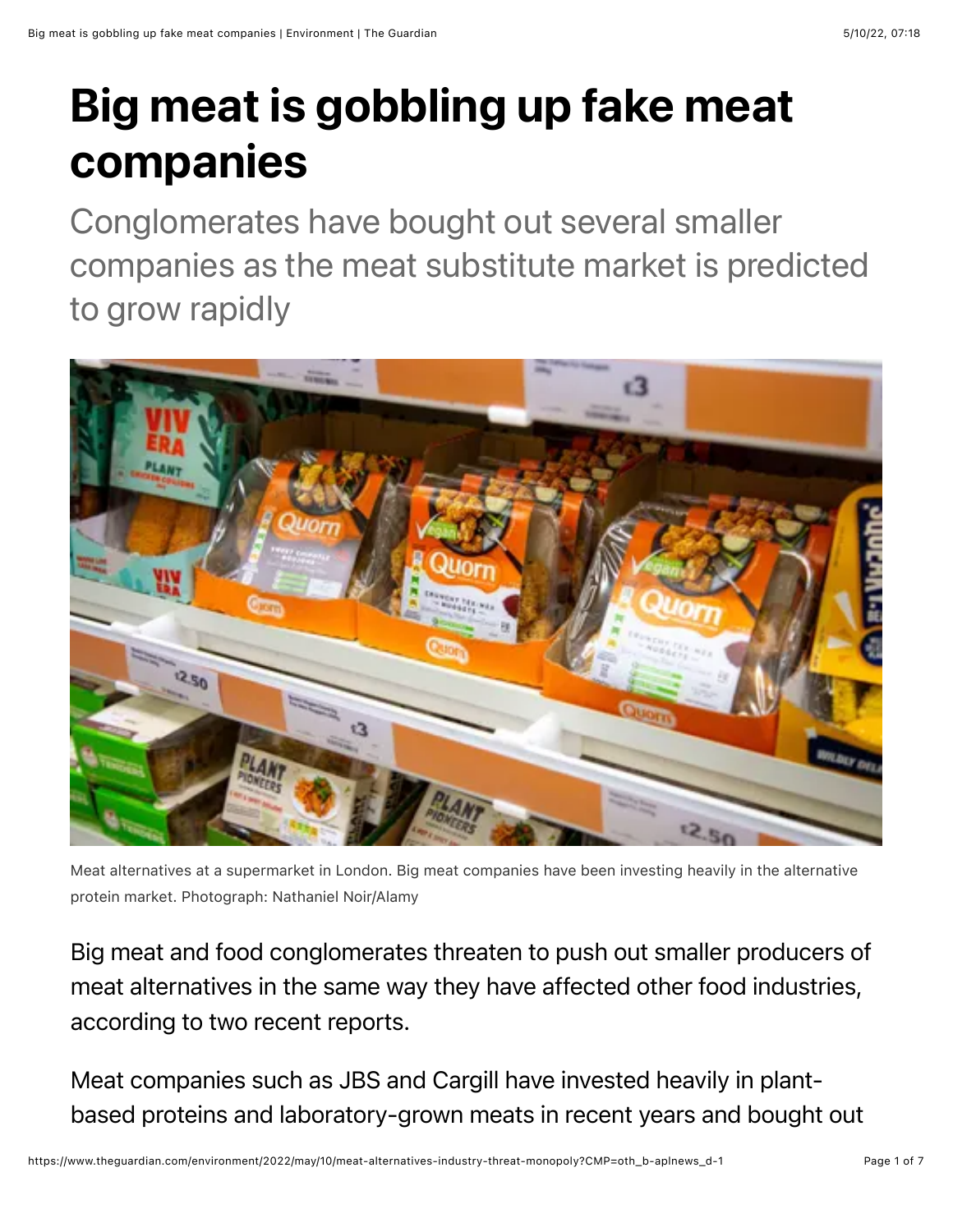## Big meat is gobbling up fake meat companies

Conglomerates have bought out several smaller companies as the meat substitute market is predicted to grow rapidly



Meat alternatives at a supermarket in London. Big meat companies have been investing heavily in the alternative protein market. Photograph: Nathaniel Noir/Alamy

Big meat and food conglomerates threaten to push out smaller producers of meat alternatives in the same way they have affected other food industries, according to two recent reports.

Meat companies such as JBS and Cargill have invested heavily in plantbased proteins and laboratory-grown meats in recent years and bought out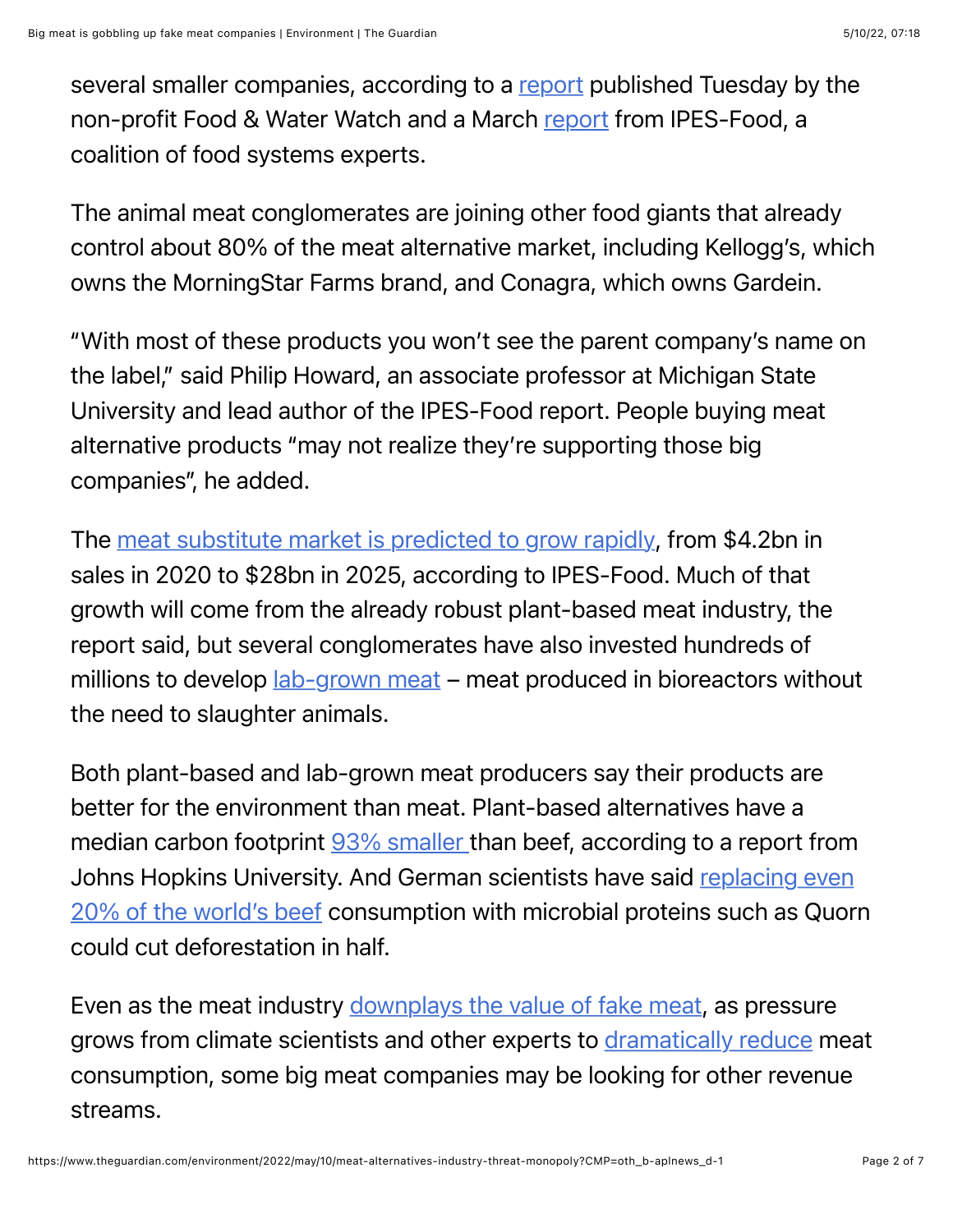several smaller companies, according to a [report](https://www.foodandwaterwatch.org/wp-content/uploads/2022/05/RPT2_2205_LabMeat-WEB.pdf) published Tuesday by the non-profit Food & Water Watch and a March [report](https://www.ipes-food.org/pages/politicsofprotein) from IPES-Food, a coalition of food systems experts.

The animal meat conglomerates are joining other food giants that already control about 80% of the meat alternative market, including Kellogg's, which owns the MorningStar Farms brand, and Conagra, which owns Gardein.

"With most of these products you won't see the parent company's name on the label," said Philip Howard, an associate professor at Michigan State University and lead author of the IPES-Food report. People buying meat alternative products "may not realize they're supporting those big companies", he added.

The [meat substitute market is predicted to grow rapidly](https://www.ipes-food.org/_img/upload/files/FakeMeatSpotlight.pdf), from \$4.2bn in sales in 2020 to \$28bn in 2025, according to IPES-Food. Much of that growth will come from the already robust plant-based meat industry, the report said, but several conglomerates have also invested hundreds of millions to develop [lab-grown meat](https://www.theguardian.com/environment/2020/dec/02/no-kill-lab-grown-meat-to-go-on-sale-for-first-time) – meat produced in bioreactors without the need to slaughter animals.

Both plant-based and lab-grown meat producers say their products are better for the environment than meat. Plant-based alternatives have a median carbon footprint [93% smaller t](https://www.frontiersin.org/articles/10.3389/fsufs.2020.00134/full#h6)han beef, according to a report from [Johns Hopkins University. And German scientists have said replacing even](https://www.theguardian.com/environment/2022/may/04/swapping-20-of-beef-for-quorn-could-halve-global-deforestation) 20% of the world's beef consumption with microbial proteins such as Quorn could cut deforestation in half.

Even as the meat industry [downplays the value of fake meat](https://www.meatinstitute.org//index.php/a/GetDocumentAction/i/145859?ht=a/GetDocumentAction/i/145859), as pressure grows from climate scientists and other experts to [dramatically reduce](https://www.theguardian.com/environment/2018/may/31/avoiding-meat-and-dairy-is-single-biggest-way-to-reduce-your-impact-on-earth) meat consumption, some big meat companies may be looking for other revenue streams.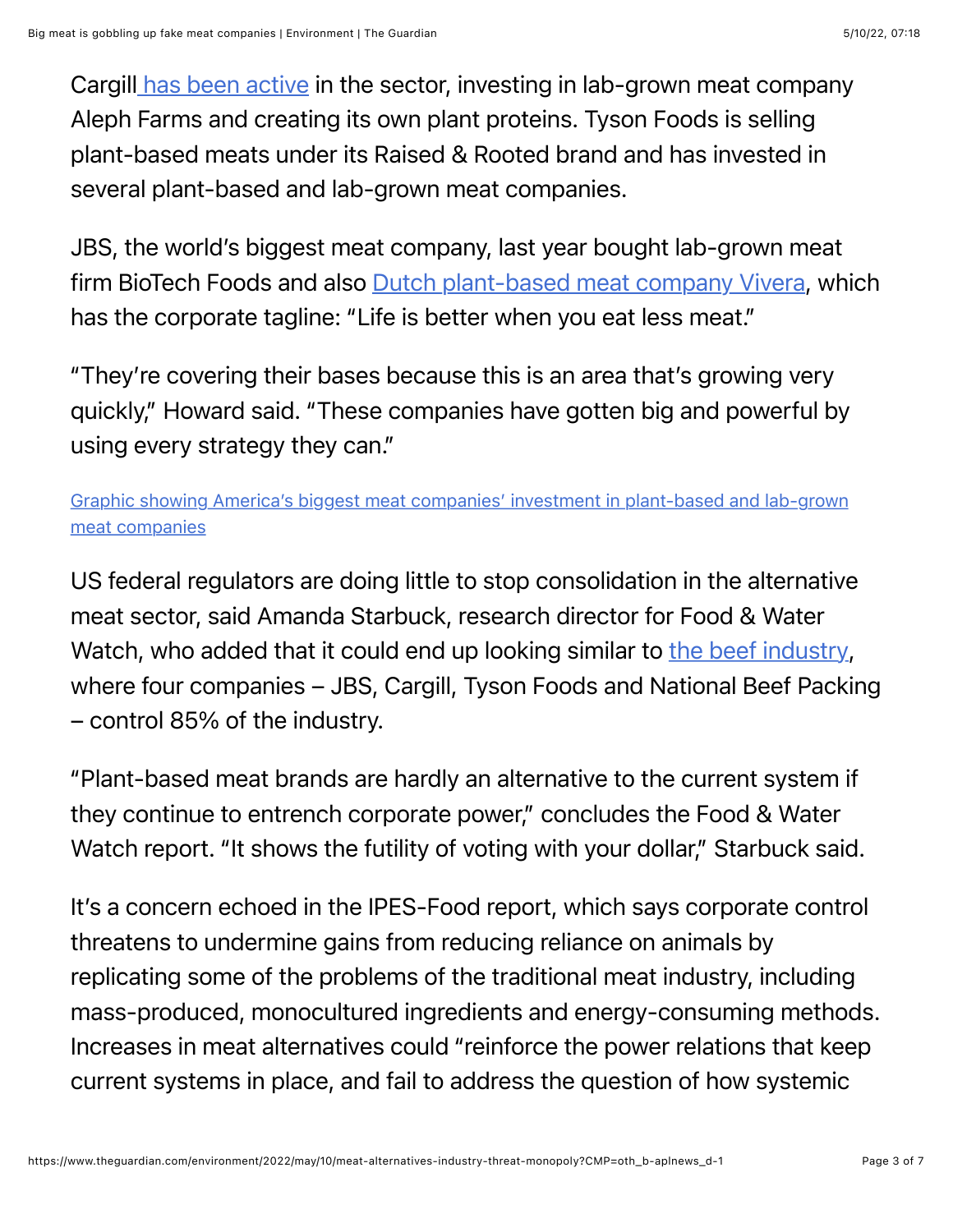Cargil[l has been active](https://www.cargill.com/food-beverage/na/plant-proteins) in the sector, investing in lab-grown meat company Aleph Farms and creating its own plant proteins. Tyson Foods is selling plant-based meats under its Raised & Rooted brand and has invested in several plant-based and lab-grown meat companies.

JBS, the world's biggest meat company, last year bought lab-grown meat firm BioTech Foods and also [Dutch plant-based meat company Vivera,](https://www.reuters.com/business/brazils-jbs-buy-plant-based-meat-company-vivera-341-mln-euros-filing-2021-04-19/) which has the corporate tagline: "Life is better when you eat less meat."

"They're covering their bases because this is an area that's growing very quickly," Howard said. "These companies have gotten big and powerful by using every strategy they can."

[Graphic showing America's biggest meat companies' investment in plant-based and lab-grown](https://interactive.guim.co.uk/uploader/embed/2022/05/meat-giants/giv-6562wMEUDDPklM1t/) meat companies

US federal regulators are doing little to stop consolidation in the alternative meat sector, said Amanda Starbuck, research director for Food & Water Watch, who added that it could end up looking similar to [the beef industry](https://www.theguardian.com/environment/2022/feb/17/us-meat-prices-big-beef-local-producers-biden), where four companies – JBS, Cargill, Tyson Foods and National Beef Packing – control 85% of the industry.

"Plant-based meat brands are hardly an alternative to the current system if they continue to entrench corporate power," concludes the Food & Water Watch report. "It shows the futility of voting with your dollar," Starbuck said.

It's a concern echoed in the IPES-Food report, which says corporate control threatens to undermine gains from reducing reliance on animals by replicating some of the problems of the traditional meat industry, including mass-produced, monocultured ingredients and energy-consuming methods. Increases in meat alternatives could "reinforce the power relations that keep current systems in place, and fail to address the question of how systemic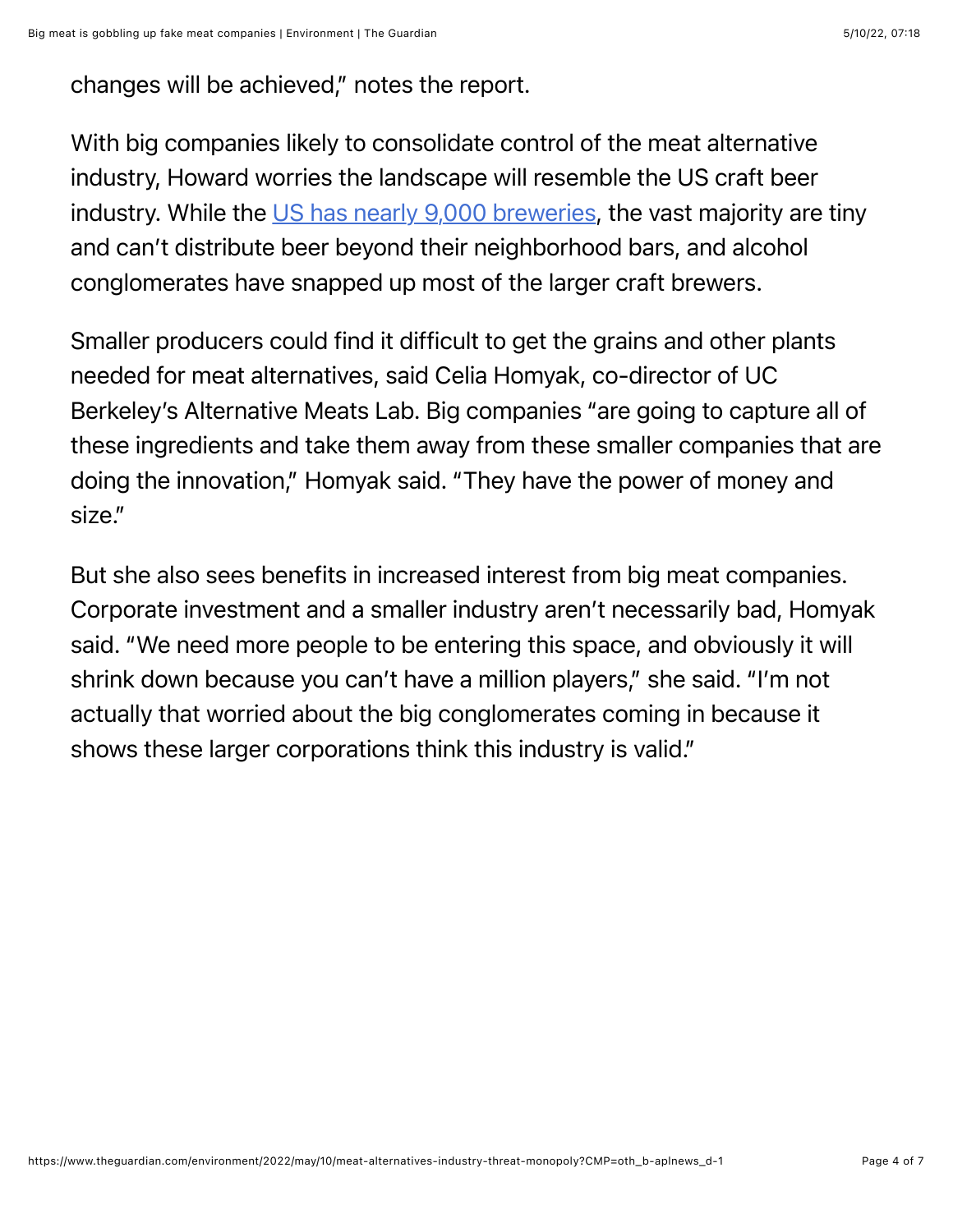changes will be achieved," notes the report.

With big companies likely to consolidate control of the meat alternative industry, Howard worries the landscape will resemble the US craft beer industry. While the [US has nearly 9,000 breweries](https://www.theguardian.com/environment/2021/oct/21/craft-breweries-face-big-obstacles), the vast majority are tiny and can't distribute beer beyond their neighborhood bars, and alcohol conglomerates have snapped up most of the larger craft brewers.

Smaller producers could find it difficult to get the grains and other plants needed for meat alternatives, said Celia Homyak, co-director of UC Berkeley's Alternative Meats Lab. Big companies "are going to capture all of these ingredients and take them away from these smaller companies that are doing the innovation," Homyak said. "They have the power of money and size."

But she also sees benefits in increased interest from big meat companies. Corporate investment and a smaller industry aren't necessarily bad, Homyak said. "We need more people to be entering this space, and obviously it will shrink down because you can't have a million players," she said. "I'm not actually that worried about the big conglomerates coming in because it shows these larger corporations think this industry is valid."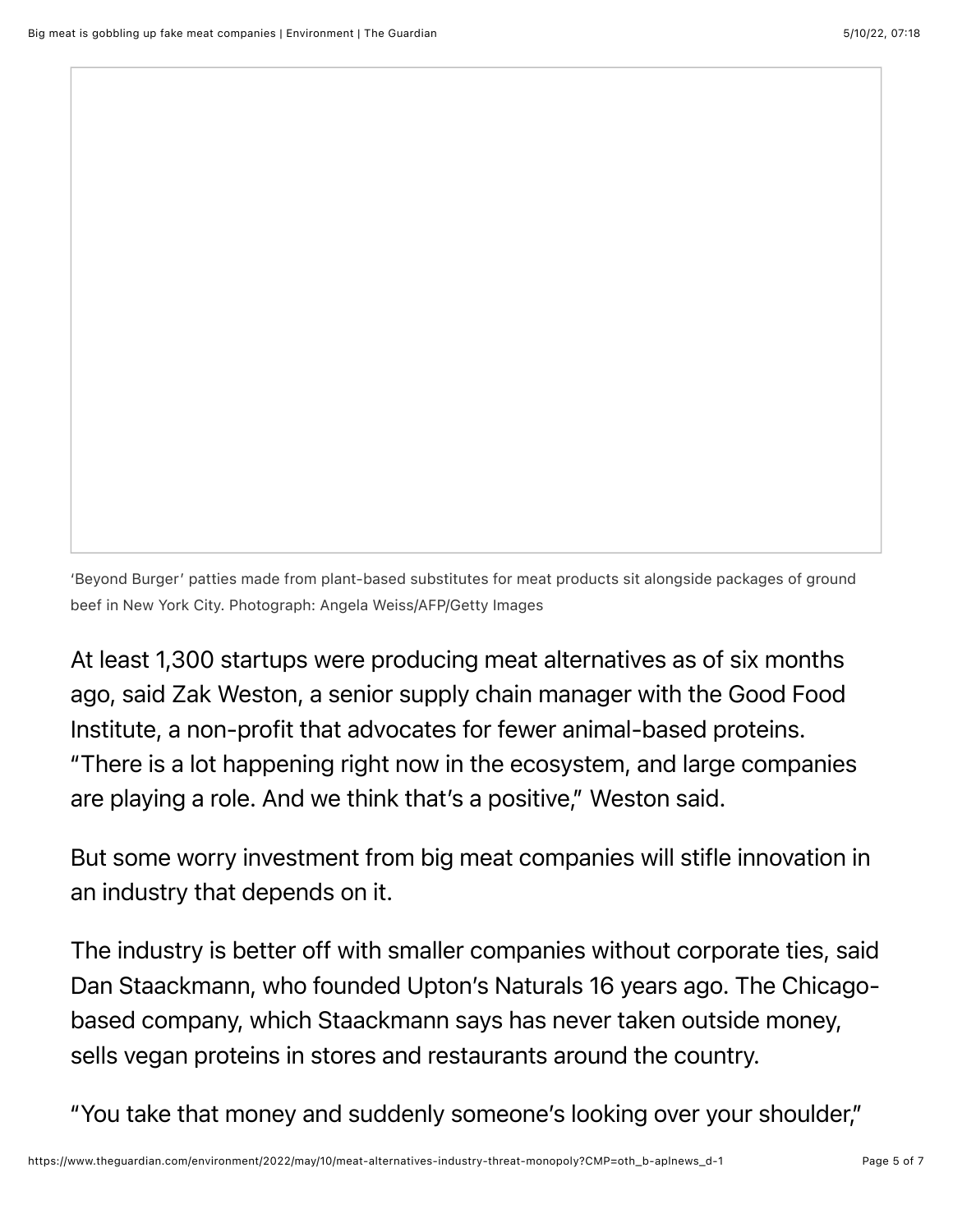'Beyond Burger' patties made from plant-based substitutes for meat products sit alongside packages of ground beef in New York City. Photograph: Angela Weiss/AFP/Getty Images

At least 1,300 startups were producing meat alternatives as of six months ago, said Zak Weston, a senior supply chain manager with the Good Food Institute, a non-profit that advocates for fewer animal-based proteins. "There is a lot happening right now in the ecosystem, and large companies are playing a role. And we think that's a positive," Weston said.

But some worry investment from big meat companies will stifle innovation in an industry that depends on it.

The industry is better off with smaller companies without corporate ties, said Dan Staackmann, who founded Upton's Naturals 16 years ago. The Chicagobased company, which Staackmann says has never taken outside money, sells vegan proteins in stores and restaurants around the country.

"You take that money and suddenly someone's looking over your shoulder,"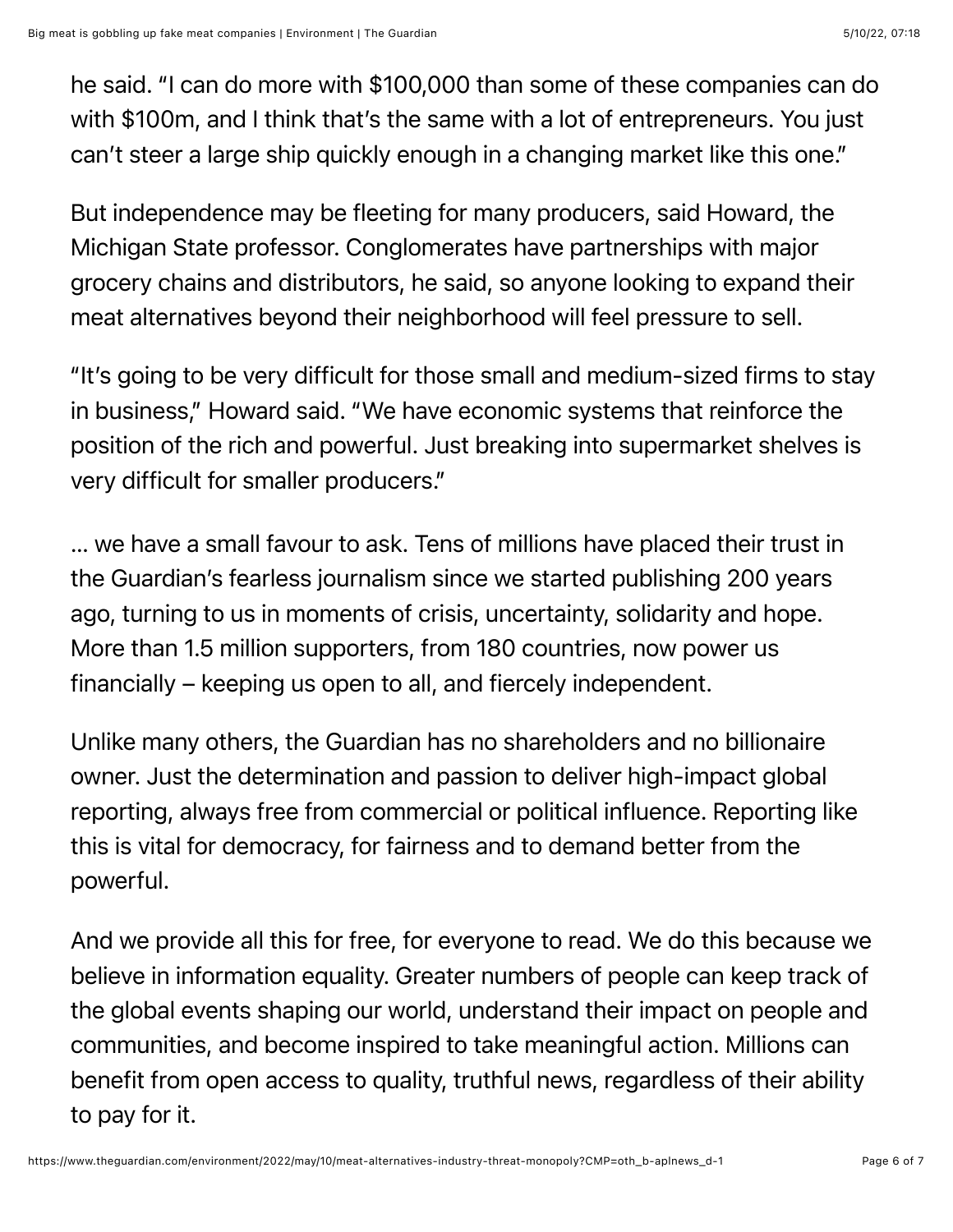he said. "I can do more with \$100,000 than some of these companies can do with \$100m, and I think that's the same with a lot of entrepreneurs. You just can't steer a large ship quickly enough in a changing market like this one."

But independence may be fleeting for many producers, said Howard, the Michigan State professor. Conglomerates have partnerships with major grocery chains and distributors, he said, so anyone looking to expand their meat alternatives beyond their neighborhood will feel pressure to sell.

"It's going to be very difficult for those small and medium-sized firms to stay in business," Howard said. "We have economic systems that reinforce the position of the rich and powerful. Just breaking into supermarket shelves is very difficult for smaller producers."

… we have a small favour to ask. Tens of millions have placed their trust in the Guardian's fearless journalism since we started publishing 200 years ago, turning to us in moments of crisis, uncertainty, solidarity and hope. More than 1.5 million supporters, from 180 countries, now power us financially – keeping us open to all, and fiercely independent.

Unlike many others, the Guardian has no shareholders and no billionaire owner. Just the determination and passion to deliver high-impact global reporting, always free from commercial or political influence. Reporting like this is vital for democracy, for fairness and to demand better from the powerful.

And we provide all this for free, for everyone to read. We do this because we believe in information equality. Greater numbers of people can keep track of the global events shaping our world, understand their impact on people and communities, and become inspired to take meaningful action. Millions can benefit from open access to quality, truthful news, regardless of their ability to pay for it.